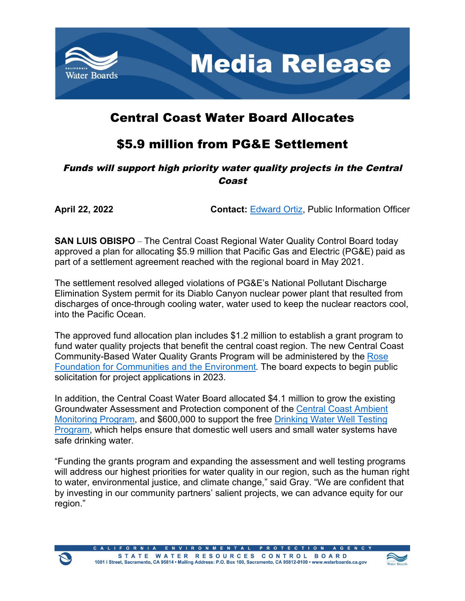

## Central Coast Water Board Allocates

## \$5.9 million from PG&E Settlement

## Funds will support high priority water quality projects in the Central Coast

**April 22, 2022 Contact:** [Edward Ortiz,](mailto:Edward.Ortiz@Waterboards.ca.gov) Public Information Officer

**SAN LUIS OBISPO** – The Central Coast Regional Water Quality Control Board today approved a plan for allocating \$5.9 million that Pacific Gas and Electric (PG&E) paid as part of a settlement agreement reached with the regional board in May 2021.

The settlement resolved alleged violations of PG&E's National Pollutant Discharge Elimination System permit for its Diablo Canyon nuclear power plant that resulted from discharges of once-through cooling water, water used to keep the nuclear reactors cool, into the Pacific Ocean.

The approved fund allocation plan includes \$1.2 million to establish a grant program to fund water quality projects that benefit the central coast region. The new Central Coast Community-Based Water Quality Grants Program will be administered by the [Rose](https://rosefdn.org/)  [Foundation for Communities and the Environment.](https://rosefdn.org/) The board expects to begin public solicitation for project applications in 2023.

In addition, the Central Coast Water Board allocated \$4.1 million to grow the existing Groundwater Assessment and Protection component of the [Central Coast Ambient](https://www.waterboards.ca.gov/water_issues/programs/swamp/monitoring/regional_monitoring_programs/region_3.html)  [Monitoring Program](https://www.waterboards.ca.gov/water_issues/programs/swamp/monitoring/regional_monitoring_programs/region_3.html), and \$600,000 to support the free [Drinking Water Well Testing](https://sites.google.com/view/ccgroundwater)  [Program](https://sites.google.com/view/ccgroundwater), which helps ensure that domestic well users and small water systems have safe drinking water.

"Funding the grants program and expanding the assessment and well testing programs will address our highest priorities for water quality in our region, such as the human right to water, environmental justice, and climate change," said Gray. "We are confident that by investing in our community partners' salient projects, we can advance equity for our region."